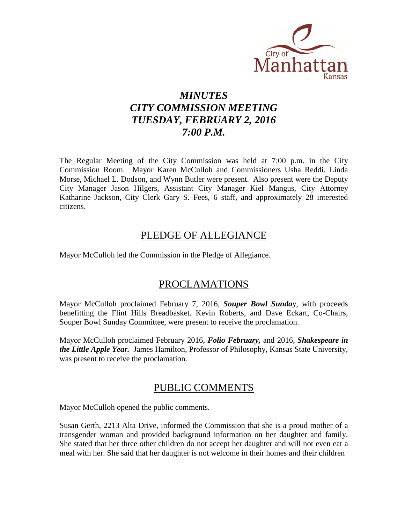

# *MINUTES CITY COMMISSION MEETING TUESDAY, FEBRUARY 2, 2016 7:00 P.M.*

The Regular Meeting of the City Commission was held at 7:00 p.m. in the City Commission Room. Mayor Karen McCulloh and Commissioners Usha Reddi, Linda Morse, Michael L. Dodson, and Wynn Butler were present. Also present were the Deputy City Manager Jason Hilgers, Assistant City Manager Kiel Mangus, City Attorney Katharine Jackson, City Clerk Gary S. Fees, 6 staff, and approximately 28 interested citizens.

# PLEDGE OF ALLEGIANCE

Mayor McCulloh led the Commission in the Pledge of Allegiance.

# PROCLAMATIONS

Mayor McCulloh proclaimed February 7, 2016, *Souper Bowl Sunda*y, with proceeds benefitting the Flint Hills Breadbasket. Kevin Roberts, and Dave Eckart, Co-Chairs, Souper Bowl Sunday Committee, were present to receive the proclamation.

Mayor McCulloh proclaimed February 2016, *Folio February,* and 2016, *Shakespeare in the Little Apple Year.* James Hamilton, Professor of Philosophy, Kansas State University, was present to receive the proclamation.

# PUBLIC COMMENTS

Mayor McCulloh opened the public comments.

Susan Gerth, 2213 Alta Drive, informed the Commission that she is a proud mother of a transgender woman and provided background information on her daughter and family. She stated that her three other children do not accept her daughter and will not even eat a meal with her. She said that her daughter is not welcome in their homes and their children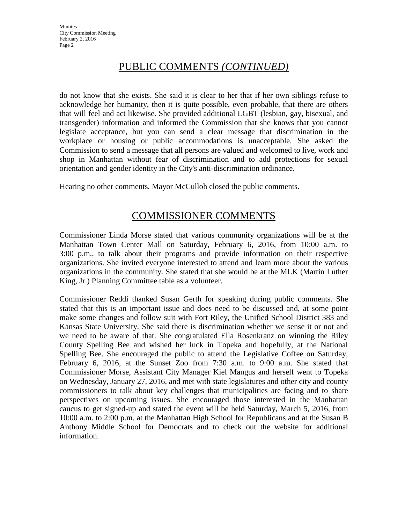# PUBLIC COMMENTS *(CONTINUED)*

do not know that she exists. She said it is clear to her that if her own siblings refuse to acknowledge her humanity, then it is quite possible, even probable, that there are others that will feel and act likewise. She provided additional LGBT (lesbian, gay, bisexual, and transgender) information and informed the Commission that she knows that you cannot legislate acceptance, but you can send a clear message that discrimination in the workplace or housing or public accommodations is unacceptable. She asked the Commission to send a message that all persons are valued and welcomed to live, work and shop in Manhattan without fear of discrimination and to add protections for sexual orientation and gender identity in the City's anti-discrimination ordinance.

Hearing no other comments, Mayor McCulloh closed the public comments.

# COMMISSIONER COMMENTS

Commissioner Linda Morse stated that various community organizations will be at the Manhattan Town Center Mall on Saturday, February 6, 2016, from 10:00 a.m. to 3:00 p.m., to talk about their programs and provide information on their respective organizations. She invited everyone interested to attend and learn more about the various organizations in the community. She stated that she would be at the MLK (Martin Luther King, Jr.) Planning Committee table as a volunteer.

Commissioner Reddi thanked Susan Gerth for speaking during public comments. She stated that this is an important issue and does need to be discussed and, at some point make some changes and follow suit with Fort Riley, the Unified School District 383 and Kansas State University. She said there is discrimination whether we sense it or not and we need to be aware of that. She congratulated Ella Rosenkranz on winning the Riley County Spelling Bee and wished her luck in Topeka and hopefully, at the National Spelling Bee. She encouraged the public to attend the Legislative Coffee on Saturday, February 6, 2016, at the Sunset Zoo from 7:30 a.m. to 9:00 a.m. She stated that Commissioner Morse, Assistant City Manager Kiel Mangus and herself went to Topeka on Wednesday, January 27, 2016, and met with state legislatures and other city and county commissioners to talk about key challenges that municipalities are facing and to share perspectives on upcoming issues. She encouraged those interested in the Manhattan caucus to get signed-up and stated the event will be held Saturday, March 5, 2016, from 10:00 a.m. to 2:00 p.m. at the Manhattan High School for Republicans and at the Susan B Anthony Middle School for Democrats and to check out the website for additional information.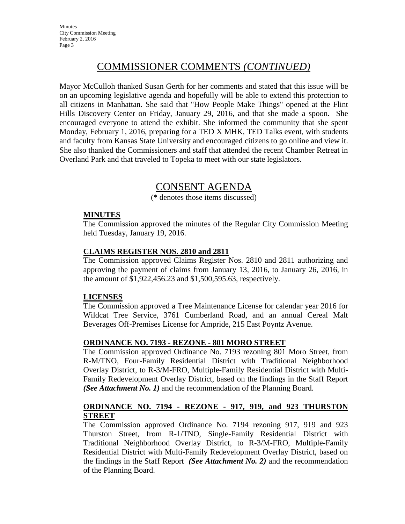**Minutes** City Commission Meeting February 2, 2016 Page 3

# COMMISSIONER COMMENTS *(CONTINUED)*

Mayor McCulloh thanked Susan Gerth for her comments and stated that this issue will be on an upcoming legislative agenda and hopefully will be able to extend this protection to all citizens in Manhattan. She said that "How People Make Things" opened at the Flint Hills Discovery Center on Friday, January 29, 2016, and that she made a spoon. She encouraged everyone to attend the exhibit. She informed the community that she spent Monday, February 1, 2016, preparing for a TED X MHK, TED Talks event, with students and faculty from Kansas State University and encouraged citizens to go online and view it. She also thanked the Commissioners and staff that attended the recent Chamber Retreat in Overland Park and that traveled to Topeka to meet with our state legislators.

# CONSENT AGENDA

(\* denotes those items discussed)

## **MINUTES**

The Commission approved the minutes of the Regular City Commission Meeting held Tuesday, January 19, 2016.

## **CLAIMS REGISTER NOS. 2810 and 2811**

The Commission approved Claims Register Nos. 2810 and 2811 authorizing and approving the payment of claims from January 13, 2016, to January 26, 2016, in the amount of \$1,922,456.23 and \$1,500,595.63, respectively.

## **LICENSES**

The Commission approved a Tree Maintenance License for calendar year 2016 for Wildcat Tree Service, 3761 Cumberland Road, and an annual Cereal Malt Beverages Off-Premises License for Ampride, 215 East Poyntz Avenue.

## **ORDINANCE NO. 7193 - REZONE - 801 MORO STREET**

The Commission approved Ordinance No. 7193 rezoning 801 Moro Street, from R-M/TNO, Four-Family Residential District with Traditional Neighborhood Overlay District, to R-3/M-FRO, Multiple-Family Residential District with Multi-Family Redevelopment Overlay District, based on the findings in the Staff Report *(See Attachment No. 1)* and the recommendation of the Planning Board.

## **ORDINANCE NO. 7194 - REZONE - 917, 919, and 923 THURSTON STREET**

The Commission approved Ordinance No. 7194 rezoning 917, 919 and 923 Thurston Street, from R-1/TNO, Single-Family Residential District with Traditional Neighborhood Overlay District, to R-3/M-FRO, Multiple-Family Residential District with Multi-Family Redevelopment Overlay District, based on the findings in the Staff Report *(See Attachment No. 2)* and the recommendation of the Planning Board.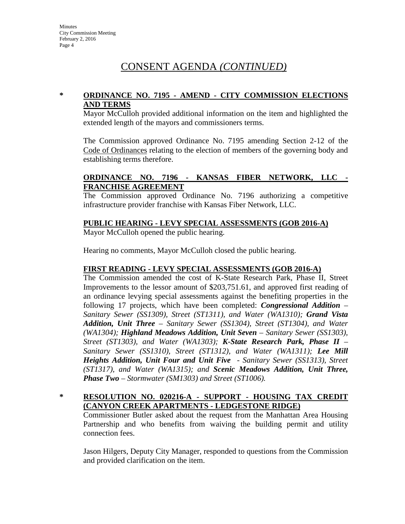## **\* ORDINANCE NO. 7195 - AMEND - CITY COMMISSION ELECTIONS AND TERMS**

Mayor McCulloh provided additional information on the item and highlighted the extended length of the mayors and commissioners terms.

The Commission approved Ordinance No. 7195 amending Section 2-12 of the Code of Ordinances relating to the election of members of the governing body and establishing terms therefore.

## **ORDINANCE NO. 7196 - KANSAS FIBER NETWORK, LLC - FRANCHISE AGREEMENT**

The Commission approved Ordinance No. 7196 authorizing a competitive infrastructure provider franchise with Kansas Fiber Network, LLC.

## **PUBLIC HEARING - LEVY SPECIAL ASSESSMENTS (GOB 2016-A)**

Mayor McCulloh opened the public hearing.

Hearing no comments, Mayor McCulloh closed the public hearing.

### **FIRST READING - LEVY SPECIAL ASSESSMENTS (GOB 2016-A)**

The Commission amended the cost of K-State Research Park, Phase II, Street Improvements to the lessor amount of \$203,751.61, and approved first reading of an ordinance levying special assessments against the benefiting properties in the following 17 projects, which have been completed: *Congressional Addition – Sanitary Sewer (SS1309), Street (ST1311), and Water (WA1310); Grand Vista Addition, Unit Three – Sanitary Sewer (SS1304), Street (ST1304), and Water (WA1304); Highland Meadows Addition, Unit Seven – Sanitary Sewer (SS1303), Street (ST1303), and Water (WA1303); K-State Research Park, Phase II – Sanitary Sewer (SS1310), Street (ST1312), and Water (WA1311); Lee Mill Heights Addition, Unit Four and Unit Five - Sanitary Sewer (SS1313), Street (ST1317), and Water (WA1315); and Scenic Meadows Addition, Unit Three, Phase Two – Stormwater (SM1303) and Street (ST1006).*

## **\* RESOLUTION NO. 020216-A - SUPPORT - HOUSING TAX CREDIT (CANYON CREEK APARTMENTS - LEDGESTONE RIDGE)**

Commissioner Butler asked about the request from the Manhattan Area Housing Partnership and who benefits from waiving the building permit and utility connection fees.

Jason Hilgers, Deputy City Manager, responded to questions from the Commission and provided clarification on the item.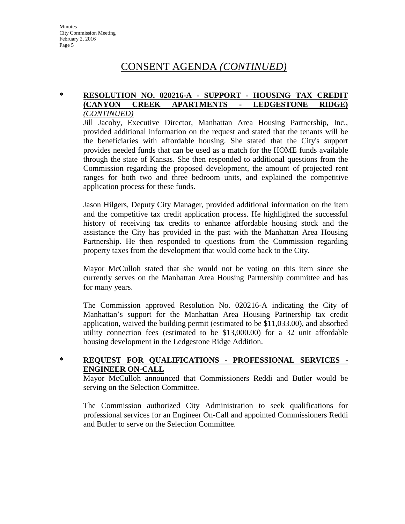### **\* RESOLUTION NO. 020216-A - SUPPORT - HOUSING TAX CREDIT (CANYON CREEK APARTMENTS - LEDGESTONE RIDGE)**  *(CONTINUED)*

Jill Jacoby, Executive Director, Manhattan Area Housing Partnership, Inc., provided additional information on the request and stated that the tenants will be the beneficiaries with affordable housing. She stated that the City's support provides needed funds that can be used as a match for the HOME funds available through the state of Kansas. She then responded to additional questions from the Commission regarding the proposed development, the amount of projected rent ranges for both two and three bedroom units, and explained the competitive application process for these funds.

Jason Hilgers, Deputy City Manager, provided additional information on the item and the competitive tax credit application process. He highlighted the successful history of receiving tax credits to enhance affordable housing stock and the assistance the City has provided in the past with the Manhattan Area Housing Partnership. He then responded to questions from the Commission regarding property taxes from the development that would come back to the City.

Mayor McCulloh stated that she would not be voting on this item since she currently serves on the Manhattan Area Housing Partnership committee and has for many years.

The Commission approved Resolution No. 020216-A indicating the City of Manhattan's support for the Manhattan Area Housing Partnership tax credit application, waived the building permit (estimated to be \$11,033.00), and absorbed utility connection fees (estimated to be \$13,000.00) for a 32 unit affordable housing development in the Ledgestone Ridge Addition.

## **\* REQUEST FOR QUALIFICATIONS - PROFESSIONAL SERVICES - ENGINEER ON-CALL**

Mayor McCulloh announced that Commissioners Reddi and Butler would be serving on the Selection Committee.

The Commission authorized City Administration to seek qualifications for professional services for an Engineer On-Call and appointed Commissioners Reddi and Butler to serve on the Selection Committee.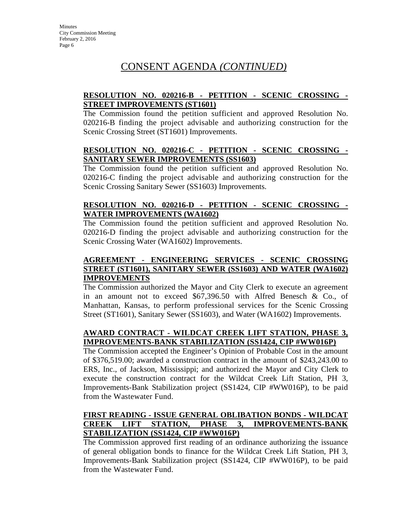## **RESOLUTION NO. 020216-B - PETITION - SCENIC CROSSING - STREET IMPROVEMENTS (ST1601)**

The Commission found the petition sufficient and approved Resolution No. 020216-B finding the project advisable and authorizing construction for the Scenic Crossing Street (ST1601) Improvements.

## **RESOLUTION NO. 020216-C - PETITION - SCENIC CROSSING - SANITARY SEWER IMPROVEMENTS (SS1603)**

The Commission found the petition sufficient and approved Resolution No. 020216-C finding the project advisable and authorizing construction for the Scenic Crossing Sanitary Sewer (SS1603) Improvements.

## **RESOLUTION NO. 020216-D - PETITION - SCENIC CROSSING - WATER IMPROVEMENTS (WA1602)**

The Commission found the petition sufficient and approved Resolution No. 020216-D finding the project advisable and authorizing construction for the Scenic Crossing Water (WA1602) Improvements.

## **AGREEMENT - ENGINEERING SERVICES - SCENIC CROSSING STREET (ST1601), SANITARY SEWER (SS1603) AND WATER (WA1602) IMPROVEMENTS**

The Commission authorized the Mayor and City Clerk to execute an agreement in an amount not to exceed \$67,396.50 with Alfred Benesch & Co., of Manhattan, Kansas, to perform professional services for the Scenic Crossing Street (ST1601), Sanitary Sewer (SS1603), and Water (WA1602) Improvements.

## **AWARD CONTRACT - WILDCAT CREEK LIFT STATION, PHASE 3, IMPROVEMENTS-BANK STABILIZATION (SS1424, CIP #WW016P)**

The Commission accepted the Engineer's Opinion of Probable Cost in the amount of \$376,519.00; awarded a construction contract in the amount of \$243,243.00 to ERS, Inc., of Jackson, Mississippi; and authorized the Mayor and City Clerk to execute the construction contract for the Wildcat Creek Lift Station, PH 3, Improvements-Bank Stabilization project (SS1424, CIP #WW016P), to be paid from the Wastewater Fund.

## **FIRST READING - ISSUE GENERAL OBLIBATION BONDS - WILDCAT CREEK LIFT STATION, PHASE 3, IMPROVEMENTS-BANK STABILIZATION (SS1424, CIP #WW016P)**

The Commission approved first reading of an ordinance authorizing the issuance of general obligation bonds to finance for the Wildcat Creek Lift Station, PH 3, Improvements-Bank Stabilization project (SS1424, CIP #WW016P), to be paid from the Wastewater Fund.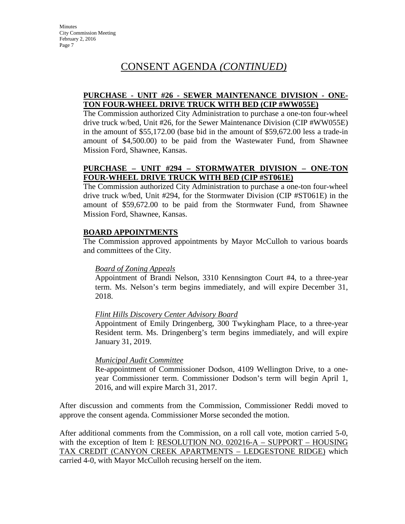## **PURCHASE - UNIT #26 - SEWER MAINTENANCE DIVISION - ONE-TON FOUR-WHEEL DRIVE TRUCK WITH BED (CIP #WW055E)**

The Commission authorized City Administration to purchase a one-ton four-wheel drive truck w/bed, Unit #26, for the Sewer Maintenance Division (CIP #WW055E) in the amount of \$55,172.00 (base bid in the amount of \$59,672.00 less a trade-in amount of \$4,500.00) to be paid from the Wastewater Fund, from Shawnee Mission Ford, Shawnee, Kansas.

## **PURCHASE – UNIT #294 – STORMWATER DIVISION – ONE-TON FOUR-WHEEL DRIVE TRUCK WITH BED (CIP #ST061E)**

The Commission authorized City Administration to purchase a one-ton four-wheel drive truck w/bed, Unit #294, for the Stormwater Division (CIP #ST061E) in the amount of \$59,672.00 to be paid from the Stormwater Fund, from Shawnee Mission Ford, Shawnee, Kansas.

## **BOARD APPOINTMENTS**

The Commission approved appointments by Mayor McCulloh to various boards and committees of the City.

### *Board of Zoning Appeals*

Appointment of Brandi Nelson, 3310 Kennsington Court #4, to a three-year term. Ms. Nelson's term begins immediately, and will expire December 31, 2018.

### *Flint Hills Discovery Center Advisory Board*

Appointment of Emily Dringenberg, 300 Twykingham Place, to a three-year Resident term. Ms. Dringenberg's term begins immediately, and will expire January 31, 2019.

## *Municipal Audit Committee*

Re-appointment of Commissioner Dodson, 4109 Wellington Drive, to a oneyear Commissioner term. Commissioner Dodson's term will begin April 1, 2016, and will expire March 31, 2017.

After discussion and comments from the Commission, Commissioner Reddi moved to approve the consent agenda. Commissioner Morse seconded the motion.

After additional comments from the Commission, on a roll call vote, motion carried 5-0, with the exception of Item I: RESOLUTION NO. 020216-A – SUPPORT – HOUSING TAX CREDIT (CANYON CREEK APARTMENTS – LEDGESTONE RIDGE) which carried 4-0, with Mayor McCulloh recusing herself on the item.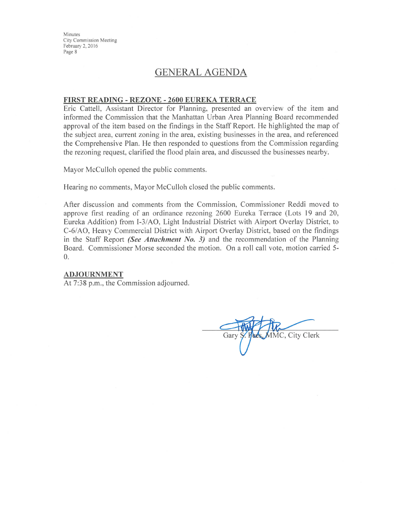Minutes **City Commission Meeting** February 2, 2016 Page 8

# **GENERAL AGENDA**

#### FIRST READING - REZONE - 2600 EUREKA TERRACE

Eric Cattell, Assistant Director for Planning, presented an overview of the item and informed the Commission that the Manhattan Urban Area Planning Board recommended approval of the item based on the findings in the Staff Report. He highlighted the map of the subject area, current zoning in the area, existing businesses in the area, and referenced the Comprehensive Plan. He then responded to questions from the Commission regarding the rezoning request, clarified the flood plain area, and discussed the businesses nearby.

Mayor McCulloh opened the public comments.

Hearing no comments, Mayor McCulloh closed the public comments.

After discussion and comments from the Commission, Commissioner Reddi moved to approve first reading of an ordinance rezoning 2600 Eureka Terrace (Lots 19 and 20, Eureka Addition) from I-3/AO, Light Industrial District with Airport Overlay District, to C-6/AO, Heavy Commercial District with Airport Overlay District, based on the findings in the Staff Report (See Attachment No. 3) and the recommendation of the Planning Board. Commissioner Morse seconded the motion. On a roll call vote, motion carried 5- $\overline{0}$ .

#### **ADJOURNMENT**

At 7:38 p.m., the Commission adjourned.

**AMC, City Clerk** Gary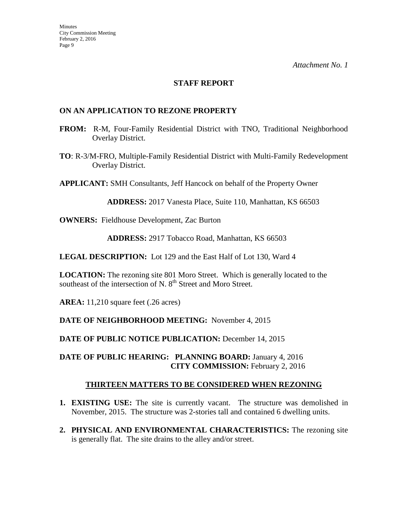## **STAFF REPORT**

## **ON AN APPLICATION TO REZONE PROPERTY**

- **FROM:** R-M, Four-Family Residential District with TNO, Traditional Neighborhood Overlay District.
- **TO**: R-3/M-FRO, Multiple-Family Residential District with Multi-Family Redevelopment Overlay District.

**APPLICANT:** SMH Consultants, Jeff Hancock on behalf of the Property Owner

**ADDRESS:** 2017 Vanesta Place, Suite 110, Manhattan, KS 66503

**OWNERS:** Fieldhouse Development, Zac Burton

**ADDRESS:** 2917 Tobacco Road, Manhattan, KS 66503

**LEGAL DESCRIPTION:** Lot 129 and the East Half of Lot 130, Ward 4

**LOCATION:** The rezoning site 801 Moro Street. Which is generally located to the southeast of the intersection of N. 8<sup>th</sup> Street and Moro Street.

**AREA:** 11,210 square feet (.26 acres)

### **DATE OF NEIGHBORHOOD MEETING:** November 4, 2015

DATE OF PUBLIC NOTICE PUBLICATION: December 14, 2015

## **DATE OF PUBLIC HEARING: PLANNING BOARD:** January 4, 2016 **CITY COMMISSION:** February 2, 2016

## **THIRTEEN MATTERS TO BE CONSIDERED WHEN REZONING**

- **1. EXISTING USE:** The site is currently vacant. The structure was demolished in November, 2015. The structure was 2-stories tall and contained 6 dwelling units.
- **2. PHYSICAL AND ENVIRONMENTAL CHARACTERISTICS:** The rezoning site is generally flat. The site drains to the alley and/or street.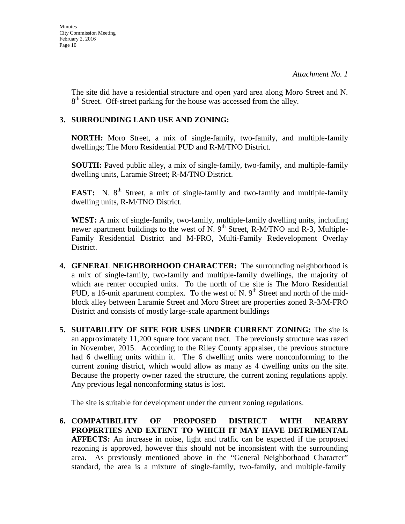The site did have a residential structure and open yard area along Moro Street and N.  $8<sup>th</sup>$  Street. Off-street parking for the house was accessed from the alley.

## **3. SURROUNDING LAND USE AND ZONING:**

**NORTH:** Moro Street, a mix of single-family, two-family, and multiple-family dwellings; The Moro Residential PUD and R-M/TNO District.

**SOUTH:** Paved public alley, a mix of single-family, two-family, and multiple-family dwelling units, Laramie Street; R-M/TNO District.

**EAST:** N. 8<sup>th</sup> Street, a mix of single-family and two-family and multiple-family dwelling units, R-M/TNO District.

**WEST:** A mix of single-family, two-family, multiple-family dwelling units, including newer apartment buildings to the west of N. 9<sup>th</sup> Street, R-M/TNO and R-3, Multiple-Family Residential District and M-FRO, Multi-Family Redevelopment Overlay District.

- **4. GENERAL NEIGHBORHOOD CHARACTER:** The surrounding neighborhood is a mix of single-family, two-family and multiple-family dwellings, the majority of which are renter occupied units. To the north of the site is The Moro Residential PUD, a 16-unit apartment complex. To the west of N.  $9<sup>th</sup>$  Street and north of the midblock alley between Laramie Street and Moro Street are properties zoned R-3/M-FRO District and consists of mostly large-scale apartment buildings
- **5. SUITABILITY OF SITE FOR USES UNDER CURRENT ZONING:** The site is an approximately 11,200 square foot vacant tract. The previously structure was razed in November, 2015. According to the Riley County appraiser, the previous structure had 6 dwelling units within it. The 6 dwelling units were nonconforming to the current zoning district, which would allow as many as 4 dwelling units on the site. Because the property owner razed the structure, the current zoning regulations apply. Any previous legal nonconforming status is lost.

The site is suitable for development under the current zoning regulations.

**6. COMPATIBILITY OF PROPOSED DISTRICT WITH NEARBY PROPERTIES AND EXTENT TO WHICH IT MAY HAVE DETRIMENTAL AFFECTS:** An increase in noise, light and traffic can be expected if the proposed rezoning is approved, however this should not be inconsistent with the surrounding area. As previously mentioned above in the "General Neighborhood Character" standard, the area is a mixture of single-family, two-family, and multiple-family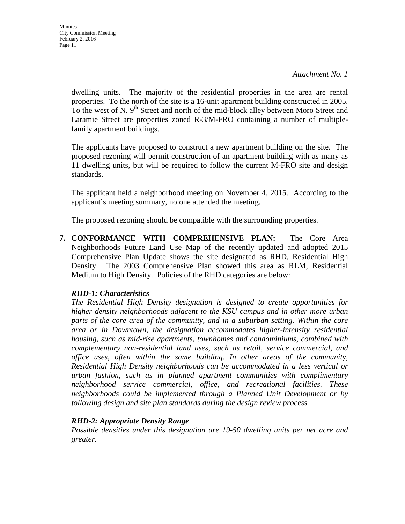dwelling units. The majority of the residential properties in the area are rental properties. To the north of the site is a 16-unit apartment building constructed in 2005. To the west of N. 9<sup>th</sup> Street and north of the mid-block alley between Moro Street and Laramie Street are properties zoned R-3/M-FRO containing a number of multiplefamily apartment buildings.

The applicants have proposed to construct a new apartment building on the site. The proposed rezoning will permit construction of an apartment building with as many as 11 dwelling units, but will be required to follow the current M-FRO site and design standards.

The applicant held a neighborhood meeting on November 4, 2015. According to the applicant's meeting summary, no one attended the meeting.

The proposed rezoning should be compatible with the surrounding properties.

**7. CONFORMANCE WITH COMPREHENSIVE PLAN:** The Core Area Neighborhoods Future Land Use Map of the recently updated and adopted 2015 Comprehensive Plan Update shows the site designated as RHD, Residential High Density. The 2003 Comprehensive Plan showed this area as RLM, Residential Medium to High Density. Policies of the RHD categories are below:

# *RHD-1: Characteristics*

*The Residential High Density designation is designed to create opportunities for higher density neighborhoods adjacent to the KSU campus and in other more urban parts of the core area of the community, and in a suburban setting. Within the core area or in Downtown, the designation accommodates higher-intensity residential housing, such as mid-rise apartments, townhomes and condominiums, combined with complementary non-residential land uses, such as retail, service commercial, and office uses, often within the same building. In other areas of the community, Residential High Density neighborhoods can be accommodated in a less vertical or urban fashion, such as in planned apartment communities with complimentary neighborhood service commercial, office, and recreational facilities. These neighborhoods could be implemented through a Planned Unit Development or by following design and site plan standards during the design review process.* 

# *RHD-2: Appropriate Density Range*

*Possible densities under this designation are 19-50 dwelling units per net acre and greater.*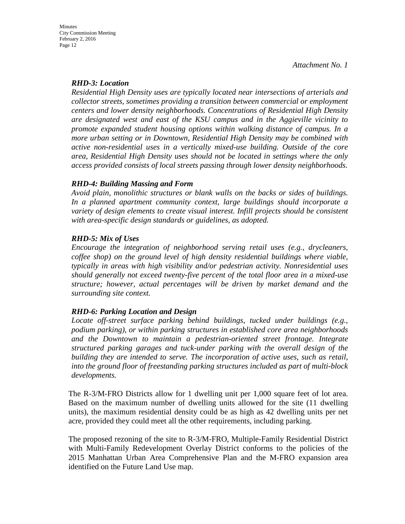## *RHD-3: Location*

*Residential High Density uses are typically located near intersections of arterials and collector streets, sometimes providing a transition between commercial or employment centers and lower density neighborhoods. Concentrations of Residential High Density are designated west and east of the KSU campus and in the Aggieville vicinity to promote expanded student housing options within walking distance of campus. In a more urban setting or in Downtown, Residential High Density may be combined with active non-residential uses in a vertically mixed-use building. Outside of the core area, Residential High Density uses should not be located in settings where the only access provided consists of local streets passing through lower density neighborhoods.* 

## *RHD-4: Building Massing and Form*

*Avoid plain, monolithic structures or blank walls on the backs or sides of buildings. In a planned apartment community context, large buildings should incorporate a variety of design elements to create visual interest. Infill projects should be consistent with area-specific design standards or guidelines, as adopted.* 

## *RHD-5: Mix of Uses*

*Encourage the integration of neighborhood serving retail uses (e.g., drycleaners, coffee shop) on the ground level of high density residential buildings where viable, typically in areas with high visibility and/or pedestrian activity. Nonresidential uses should generally not exceed twenty-five percent of the total floor area in a mixed-use structure; however, actual percentages will be driven by market demand and the surrounding site context.* 

## *RHD-6: Parking Location and Design*

*Locate off-street surface parking behind buildings, tucked under buildings (e.g., podium parking), or within parking structures in established core area neighborhoods and the Downtown to maintain a pedestrian-oriented street frontage. Integrate structured parking garages and tuck-under parking with the overall design of the building they are intended to serve. The incorporation of active uses, such as retail, into the ground floor of freestanding parking structures included as part of multi-block developments.*

The R-3/M-FRO Districts allow for 1 dwelling unit per 1,000 square feet of lot area. Based on the maximum number of dwelling units allowed for the site (11 dwelling units), the maximum residential density could be as high as 42 dwelling units per net acre, provided they could meet all the other requirements, including parking.

The proposed rezoning of the site to R-3/M-FRO, Multiple-Family Residential District with Multi-Family Redevelopment Overlay District conforms to the policies of the 2015 Manhattan Urban Area Comprehensive Plan and the M-FRO expansion area identified on the Future Land Use map.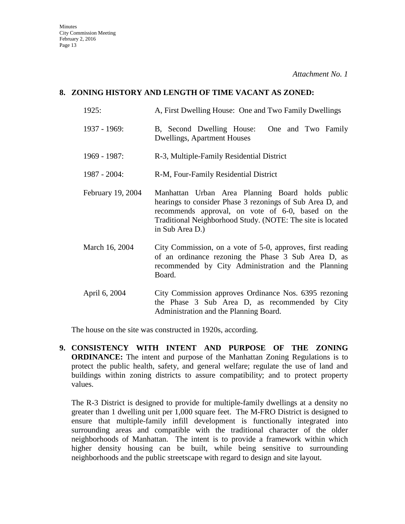## **8. ZONING HISTORY AND LENGTH OF TIME VACANT AS ZONED:**

- 1925: A, First Dwelling House: One and Two Family Dwellings
- 1937 1969: B, Second Dwelling House: One and Two Family Dwellings, Apartment Houses
- 1969 1987: R-3, Multiple-Family Residential District
- 1987 2004: R-M, Four-Family Residential District
- February 19, 2004 Manhattan Urban Area Planning Board holds public hearings to consider Phase 3 rezonings of Sub Area D, and recommends approval, on vote of 6-0, based on the Traditional Neighborhood Study. (NOTE: The site is located in Sub Area D.)
- March 16, 2004 City Commission, on a vote of 5-0, approves, first reading of an ordinance rezoning the Phase 3 Sub Area D, as recommended by City Administration and the Planning Board.
- April 6, 2004 City Commission approves Ordinance Nos. 6395 rezoning the Phase 3 Sub Area D, as recommended by City Administration and the Planning Board.

The house on the site was constructed in 1920s, according.

**9. CONSISTENCY WITH INTENT AND PURPOSE OF THE ZONING ORDINANCE:** The intent and purpose of the Manhattan Zoning Regulations is to protect the public health, safety, and general welfare; regulate the use of land and buildings within zoning districts to assure compatibility; and to protect property values.

The R-3 District is designed to provide for multiple-family dwellings at a density no greater than 1 dwelling unit per 1,000 square feet. The M-FRO District is designed to ensure that multiple-family infill development is functionally integrated into surrounding areas and compatible with the traditional character of the older neighborhoods of Manhattan. The intent is to provide a framework within which higher density housing can be built, while being sensitive to surrounding neighborhoods and the public streetscape with regard to design and site layout.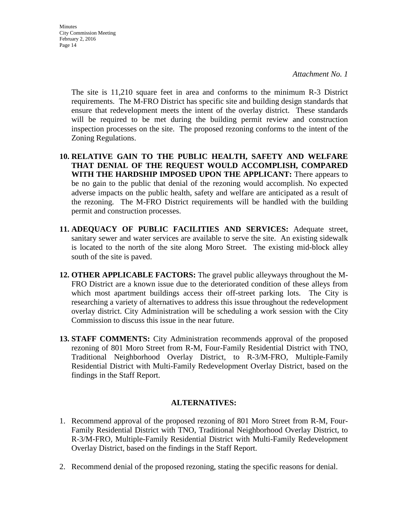**Minutes** City Commission Meeting February 2, 2016 Page 14

> The site is 11,210 square feet in area and conforms to the minimum R-3 District requirements. The M-FRO District has specific site and building design standards that ensure that redevelopment meets the intent of the overlay district. These standards will be required to be met during the building permit review and construction inspection processes on the site. The proposed rezoning conforms to the intent of the Zoning Regulations.

- **10. RELATIVE GAIN TO THE PUBLIC HEALTH, SAFETY AND WELFARE THAT DENIAL OF THE REQUEST WOULD ACCOMPLISH, COMPARED WITH THE HARDSHIP IMPOSED UPON THE APPLICANT:** There appears to be no gain to the public that denial of the rezoning would accomplish. No expected adverse impacts on the public health, safety and welfare are anticipated as a result of the rezoning. The M-FRO District requirements will be handled with the building permit and construction processes.
- **11. ADEQUACY OF PUBLIC FACILITIES AND SERVICES:** Adequate street, sanitary sewer and water services are available to serve the site. An existing sidewalk is located to the north of the site along Moro Street. The existing mid-block alley south of the site is paved.
- **12. OTHER APPLICABLE FACTORS:** The gravel public alleyways throughout the M-FRO District are a known issue due to the deteriorated condition of these alleys from which most apartment buildings access their off-street parking lots. The City is researching a variety of alternatives to address this issue throughout the redevelopment overlay district. City Administration will be scheduling a work session with the City Commission to discuss this issue in the near future.
- **13. STAFF COMMENTS:** City Administration recommends approval of the proposed rezoning of 801 Moro Street from R-M, Four-Family Residential District with TNO, Traditional Neighborhood Overlay District, to R-3/M-FRO, Multiple-Family Residential District with Multi-Family Redevelopment Overlay District, based on the findings in the Staff Report.

## **ALTERNATIVES:**

- 1. Recommend approval of the proposed rezoning of 801 Moro Street from R-M, Four-Family Residential District with TNO, Traditional Neighborhood Overlay District, to R-3/M-FRO, Multiple-Family Residential District with Multi-Family Redevelopment Overlay District, based on the findings in the Staff Report.
- 2. Recommend denial of the proposed rezoning, stating the specific reasons for denial.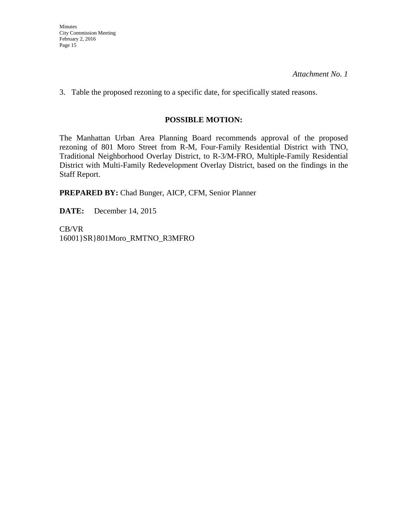3. Table the proposed rezoning to a specific date, for specifically stated reasons.

## **POSSIBLE MOTION:**

The Manhattan Urban Area Planning Board recommends approval of the proposed rezoning of 801 Moro Street from R-M, Four-Family Residential District with TNO, Traditional Neighborhood Overlay District, to R-3/M-FRO, Multiple-Family Residential District with Multi-Family Redevelopment Overlay District, based on the findings in the Staff Report.

**PREPARED BY:** Chad Bunger, AICP, CFM, Senior Planner

**DATE:** December 14, 2015

CB/VR 16001}SR}801Moro\_RMTNO\_R3MFRO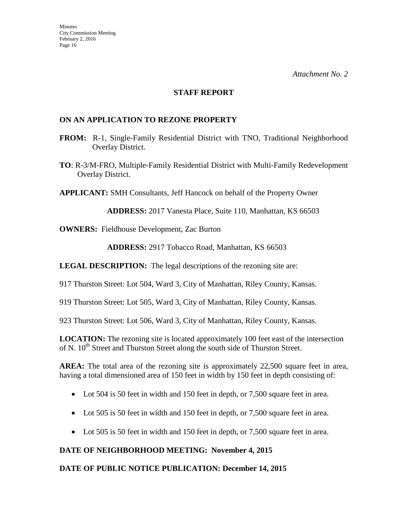### **STAFF REPORT**

## **ON AN APPLICATION TO REZONE PROPERTY**

- **FROM:** R-1, Single-Family Residential District with TNO, Traditional Neighborhood Overlay District.
- **TO**: R-3/M-FRO, Multiple-Family Residential District with Multi-Family Redevelopment Overlay District.

**APPLICANT:** SMH Consultants, Jeff Hancock on behalf of the Property Owner

**ADDRESS:** 2017 Vanesta Place, Suite 110, Manhattan, KS 66503

**OWNERS:** Fieldhouse Development, Zac Burton

**ADDRESS:** 2917 Tobacco Road, Manhattan, KS 66503

**LEGAL DESCRIPTION:** The legal descriptions of the rezoning site are:

917 Thurston Street: Lot 504, Ward 3, City of Manhattan, Riley County, Kansas.

919 Thurston Street: Lot 505, Ward 3, City of Manhattan, Riley County, Kansas.

923 Thurston Street: Lot 506, Ward 3, City of Manhattan, Riley County, Kansas.

**LOCATION:** The rezoning site is located approximately 100 feet east of the intersection of N. 10<sup>th</sup> Street and Thurston Street along the south side of Thurston Street.

AREA: The total area of the rezoning site is approximately 22,500 square feet in area, having a total dimensioned area of 150 feet in width by 150 feet in depth consisting of:

- Lot 504 is 50 feet in width and 150 feet in depth, or 7,500 square feet in area.
- Lot 505 is 50 feet in width and 150 feet in depth, or 7,500 square feet in area.
- Lot 505 is 50 feet in width and 150 feet in depth, or 7,500 square feet in area.

### **DATE OF NEIGHBORHOOD MEETING: November 4, 2015**

### **DATE OF PUBLIC NOTICE PUBLICATION: December 14, 2015**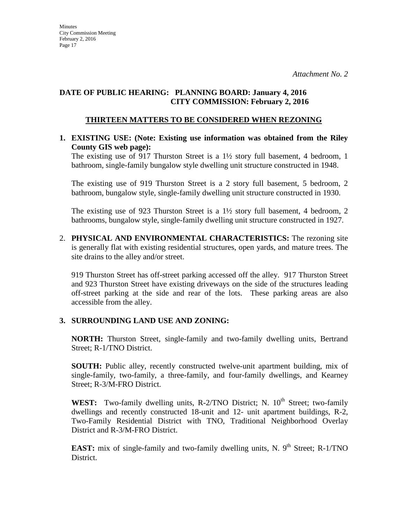## **DATE OF PUBLIC HEARING: PLANNING BOARD: January 4, 2016 CITY COMMISSION: February 2, 2016**

## **THIRTEEN MATTERS TO BE CONSIDERED WHEN REZONING**

## **1. EXISTING USE: (Note: Existing use information was obtained from the Riley County GIS web page):**

The existing use of 917 Thurston Street is a 1½ story full basement, 4 bedroom, 1 bathroom, single-family bungalow style dwelling unit structure constructed in 1948.

The existing use of 919 Thurston Street is a 2 story full basement, 5 bedroom, 2 bathroom, bungalow style, single-family dwelling unit structure constructed in 1930.

The existing use of 923 Thurston Street is a 1½ story full basement, 4 bedroom, 2 bathrooms, bungalow style, single-family dwelling unit structure constructed in 1927.

2. **PHYSICAL AND ENVIRONMENTAL CHARACTERISTICS:** The rezoning site is generally flat with existing residential structures, open yards, and mature trees. The site drains to the alley and/or street.

919 Thurston Street has off-street parking accessed off the alley. 917 Thurston Street and 923 Thurston Street have existing driveways on the side of the structures leading off-street parking at the side and rear of the lots. These parking areas are also accessible from the alley.

## **3. SURROUNDING LAND USE AND ZONING:**

**NORTH:** Thurston Street, single-family and two-family dwelling units, Bertrand Street; R-1/TNO District.

**SOUTH:** Public alley, recently constructed twelve-unit apartment building, mix of single-family, two-family, a three-family, and four-family dwellings, and Kearney Street; R-3/M-FRO District.

**WEST:** Two-family dwelling units, R-2/TNO District; N.  $10<sup>th</sup>$  Street; two-family dwellings and recently constructed 18-unit and 12- unit apartment buildings, R-2, Two-Family Residential District with TNO, Traditional Neighborhood Overlay District and R-3/M-FRO District.

**EAST:** mix of single-family and two-family dwelling units, N.  $9<sup>th</sup>$  Street; R-1/TNO District.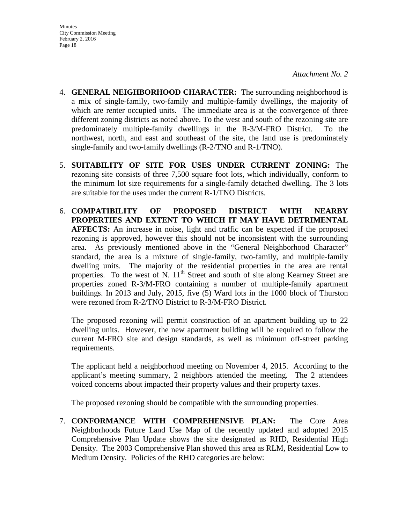- 4. **GENERAL NEIGHBORHOOD CHARACTER:** The surrounding neighborhood is a mix of single-family, two-family and multiple-family dwellings, the majority of which are renter occupied units. The immediate area is at the convergence of three different zoning districts as noted above. To the west and south of the rezoning site are predominately multiple-family dwellings in the R-3/M-FRO District. To the northwest, north, and east and southeast of the site, the land use is predominately single-family and two-family dwellings (R-2/TNO and R-1/TNO).
- 5. **SUITABILITY OF SITE FOR USES UNDER CURRENT ZONING:** The rezoning site consists of three 7,500 square foot lots, which individually, conform to the minimum lot size requirements for a single-family detached dwelling. The 3 lots are suitable for the uses under the current R-1/TNO Districts.
- 6. **COMPATIBILITY OF PROPOSED DISTRICT WITH NEARBY PROPERTIES AND EXTENT TO WHICH IT MAY HAVE DETRIMENTAL AFFECTS:** An increase in noise, light and traffic can be expected if the proposed rezoning is approved, however this should not be inconsistent with the surrounding area. As previously mentioned above in the "General Neighborhood Character" standard, the area is a mixture of single-family, two-family, and multiple-family dwelling units. The majority of the residential properties in the area are rental properties. To the west of N.  $11<sup>th</sup>$  Street and south of site along Kearney Street are properties zoned R-3/M-FRO containing a number of multiple-family apartment buildings. In 2013 and July, 2015, five (5) Ward lots in the 1000 block of Thurston were rezoned from R-2/TNO District to R-3/M-FRO District.

The proposed rezoning will permit construction of an apartment building up to 22 dwelling units. However, the new apartment building will be required to follow the current M-FRO site and design standards, as well as minimum off-street parking requirements.

The applicant held a neighborhood meeting on November 4, 2015. According to the applicant's meeting summary, 2 neighbors attended the meeting. The 2 attendees voiced concerns about impacted their property values and their property taxes.

The proposed rezoning should be compatible with the surrounding properties.

7. **CONFORMANCE WITH COMPREHENSIVE PLAN:** The Core Area Neighborhoods Future Land Use Map of the recently updated and adopted 2015 Comprehensive Plan Update shows the site designated as RHD, Residential High Density. The 2003 Comprehensive Plan showed this area as RLM, Residential Low to Medium Density. Policies of the RHD categories are below: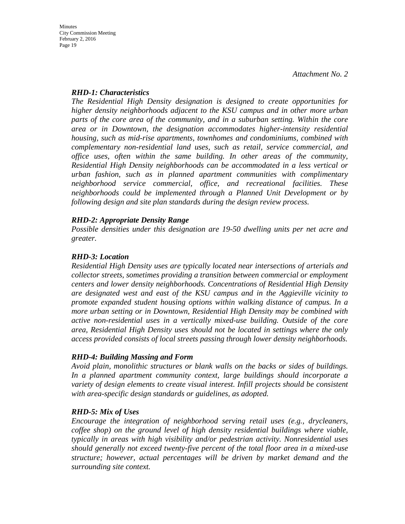### *RHD-1: Characteristics*

*The Residential High Density designation is designed to create opportunities for higher density neighborhoods adjacent to the KSU campus and in other more urban parts of the core area of the community, and in a suburban setting. Within the core area or in Downtown, the designation accommodates higher-intensity residential housing, such as mid-rise apartments, townhomes and condominiums, combined with complementary non-residential land uses, such as retail, service commercial, and office uses, often within the same building. In other areas of the community, Residential High Density neighborhoods can be accommodated in a less vertical or urban fashion, such as in planned apartment communities with complimentary neighborhood service commercial, office, and recreational facilities. These neighborhoods could be implemented through a Planned Unit Development or by following design and site plan standards during the design review process.* 

## *RHD-2: Appropriate Density Range*

*Possible densities under this designation are 19-50 dwelling units per net acre and greater.*

## *RHD-3: Location*

*Residential High Density uses are typically located near intersections of arterials and collector streets, sometimes providing a transition between commercial or employment centers and lower density neighborhoods. Concentrations of Residential High Density are designated west and east of the KSU campus and in the Aggieville vicinity to promote expanded student housing options within walking distance of campus. In a more urban setting or in Downtown, Residential High Density may be combined with active non-residential uses in a vertically mixed-use building. Outside of the core area, Residential High Density uses should not be located in settings where the only access provided consists of local streets passing through lower density neighborhoods.* 

## *RHD-4: Building Massing and Form*

*Avoid plain, monolithic structures or blank walls on the backs or sides of buildings. In a planned apartment community context, large buildings should incorporate a variety of design elements to create visual interest. Infill projects should be consistent with area-specific design standards or guidelines, as adopted.* 

## *RHD-5: Mix of Uses*

*Encourage the integration of neighborhood serving retail uses (e.g., drycleaners, coffee shop) on the ground level of high density residential buildings where viable, typically in areas with high visibility and/or pedestrian activity. Nonresidential uses should generally not exceed twenty-five percent of the total floor area in a mixed-use structure; however, actual percentages will be driven by market demand and the surrounding site context.*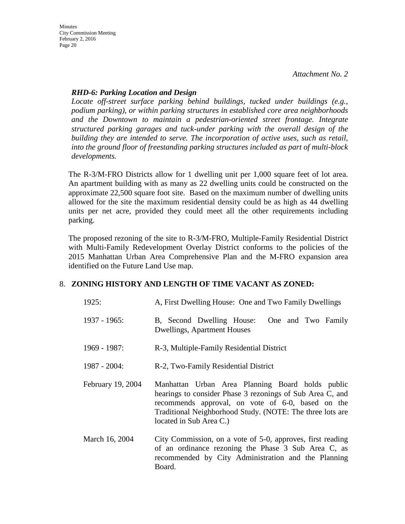## *RHD-6: Parking Location and Design*

*Locate off-street surface parking behind buildings, tucked under buildings (e.g., podium parking), or within parking structures in established core area neighborhoods and the Downtown to maintain a pedestrian-oriented street frontage. Integrate structured parking garages and tuck-under parking with the overall design of the building they are intended to serve. The incorporation of active uses, such as retail, into the ground floor of freestanding parking structures included as part of multi-block developments.*

The R-3/M-FRO Districts allow for 1 dwelling unit per 1,000 square feet of lot area. An apartment building with as many as 22 dwelling units could be constructed on the approximate 22,500 square foot site. Based on the maximum number of dwelling units allowed for the site the maximum residential density could be as high as 44 dwelling units per net acre, provided they could meet all the other requirements including parking.

The proposed rezoning of the site to R-3/M-FRO, Multiple-Family Residential District with Multi-Family Redevelopment Overlay District conforms to the policies of the 2015 Manhattan Urban Area Comprehensive Plan and the M-FRO expansion area identified on the Future Land Use map.

## 8. **ZONING HISTORY AND LENGTH OF TIME VACANT AS ZONED:**

| 1925:             | A, First Dwelling House: One and Two Family Dwellings                                                                                                                                                                                                      |
|-------------------|------------------------------------------------------------------------------------------------------------------------------------------------------------------------------------------------------------------------------------------------------------|
| 1937 - 1965:      | B, Second Dwelling House:<br>One and Two Family<br><b>Dwellings, Apartment Houses</b>                                                                                                                                                                      |
| 1969 - 1987:      | R-3, Multiple-Family Residential District                                                                                                                                                                                                                  |
| $1987 - 2004$ :   | R-2, Two-Family Residential District                                                                                                                                                                                                                       |
| February 19, 2004 | Manhattan Urban Area Planning Board holds public<br>hearings to consider Phase 3 rezonings of Sub Area C, and<br>recommends approval, on vote of 6-0, based on the<br>Traditional Neighborhood Study. (NOTE: The three lots are<br>located in Sub Area C.) |
| March 16, 2004    | City Commission, on a vote of 5-0, approves, first reading<br>of an ordinance rezoning the Phase 3 Sub Area C, as<br>recommended by City Administration and the Planning<br>Board.                                                                         |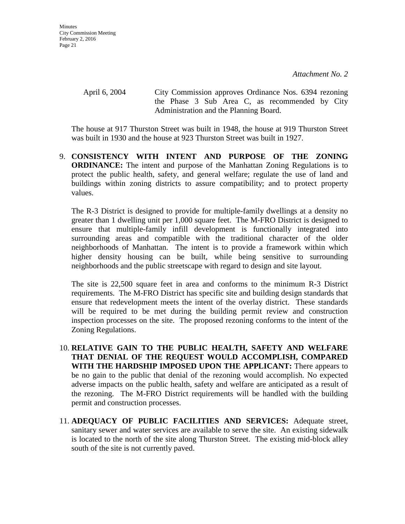April 6, 2004 City Commission approves Ordinance Nos. 6394 rezoning the Phase 3 Sub Area C, as recommended by City Administration and the Planning Board.

The house at 917 Thurston Street was built in 1948, the house at 919 Thurston Street was built in 1930 and the house at 923 Thurston Street was built in 1927.

9. **CONSISTENCY WITH INTENT AND PURPOSE OF THE ZONING ORDINANCE:** The intent and purpose of the Manhattan Zoning Regulations is to protect the public health, safety, and general welfare; regulate the use of land and buildings within zoning districts to assure compatibility; and to protect property values.

The R-3 District is designed to provide for multiple-family dwellings at a density no greater than 1 dwelling unit per 1,000 square feet. The M-FRO District is designed to ensure that multiple-family infill development is functionally integrated into surrounding areas and compatible with the traditional character of the older neighborhoods of Manhattan. The intent is to provide a framework within which higher density housing can be built, while being sensitive to surrounding neighborhoods and the public streetscape with regard to design and site layout.

The site is 22,500 square feet in area and conforms to the minimum R-3 District requirements. The M-FRO District has specific site and building design standards that ensure that redevelopment meets the intent of the overlay district. These standards will be required to be met during the building permit review and construction inspection processes on the site. The proposed rezoning conforms to the intent of the Zoning Regulations.

- 10. **RELATIVE GAIN TO THE PUBLIC HEALTH, SAFETY AND WELFARE THAT DENIAL OF THE REQUEST WOULD ACCOMPLISH, COMPARED WITH THE HARDSHIP IMPOSED UPON THE APPLICANT:** There appears to be no gain to the public that denial of the rezoning would accomplish. No expected adverse impacts on the public health, safety and welfare are anticipated as a result of the rezoning. The M-FRO District requirements will be handled with the building permit and construction processes.
- 11. **ADEQUACY OF PUBLIC FACILITIES AND SERVICES:** Adequate street, sanitary sewer and water services are available to serve the site. An existing sidewalk is located to the north of the site along Thurston Street. The existing mid-block alley south of the site is not currently paved.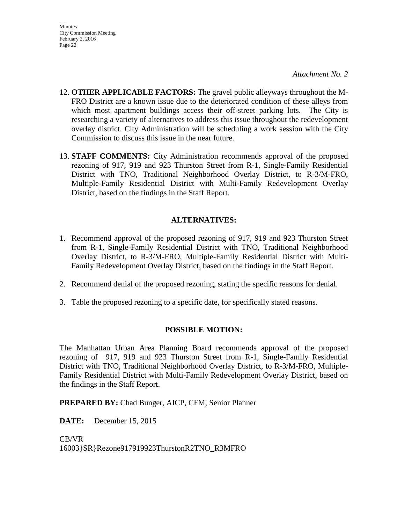- 12. **OTHER APPLICABLE FACTORS:** The gravel public alleyways throughout the M-FRO District are a known issue due to the deteriorated condition of these alleys from which most apartment buildings access their off-street parking lots. The City is researching a variety of alternatives to address this issue throughout the redevelopment overlay district. City Administration will be scheduling a work session with the City Commission to discuss this issue in the near future.
- 13. **STAFF COMMENTS:** City Administration recommends approval of the proposed rezoning of 917, 919 and 923 Thurston Street from R-1, Single-Family Residential District with TNO, Traditional Neighborhood Overlay District, to R-3/M-FRO, Multiple-Family Residential District with Multi-Family Redevelopment Overlay District, based on the findings in the Staff Report.

## **ALTERNATIVES:**

- 1. Recommend approval of the proposed rezoning of 917, 919 and 923 Thurston Street from R-1, Single-Family Residential District with TNO, Traditional Neighborhood Overlay District, to R-3/M-FRO, Multiple-Family Residential District with Multi-Family Redevelopment Overlay District, based on the findings in the Staff Report.
- 2. Recommend denial of the proposed rezoning, stating the specific reasons for denial.
- 3. Table the proposed rezoning to a specific date, for specifically stated reasons.

### **POSSIBLE MOTION:**

The Manhattan Urban Area Planning Board recommends approval of the proposed rezoning of 917, 919 and 923 Thurston Street from R-1, Single-Family Residential District with TNO, Traditional Neighborhood Overlay District, to R-3/M-FRO, Multiple-Family Residential District with Multi-Family Redevelopment Overlay District, based on the findings in the Staff Report.

**PREPARED BY:** Chad Bunger, AICP, CFM, Senior Planner

**DATE:** December 15, 2015

CB/VR 16003}SR}Rezone917919923ThurstonR2TNO\_R3MFRO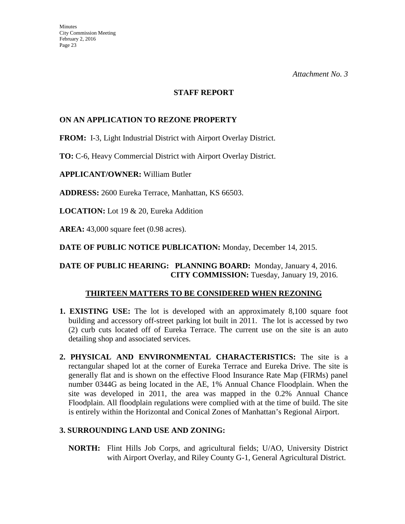### **STAFF REPORT**

## **ON AN APPLICATION TO REZONE PROPERTY**

**FROM:** I-3, Light Industrial District with Airport Overlay District.

**TO:** C-6, Heavy Commercial District with Airport Overlay District.

**APPLICANT/OWNER:** William Butler

**ADDRESS:** 2600 Eureka Terrace, Manhattan, KS 66503.

**LOCATION:** Lot 19 & 20, Eureka Addition

**AREA:** 43,000 square feet (0.98 acres).

**DATE OF PUBLIC NOTICE PUBLICATION:** Monday, December 14, 2015.

**DATE OF PUBLIC HEARING: PLANNING BOARD:** Monday, January 4, 2016. **CITY COMMISSION:** Tuesday, January 19, 2016.

### **THIRTEEN MATTERS TO BE CONSIDERED WHEN REZONING**

- **1. EXISTING USE:** The lot is developed with an approximately 8,100 square foot building and accessory off-street parking lot built in 2011. The lot is accessed by two (2) curb cuts located off of Eureka Terrace. The current use on the site is an auto detailing shop and associated services.
- **2. PHYSICAL AND ENVIRONMENTAL CHARACTERISTICS:** The site is a rectangular shaped lot at the corner of Eureka Terrace and Eureka Drive. The site is generally flat and is shown on the effective Flood Insurance Rate Map (FIRMs) panel number 0344G as being located in the AE, 1% Annual Chance Floodplain. When the site was developed in 2011, the area was mapped in the 0.2% Annual Chance Floodplain. All floodplain regulations were complied with at the time of build. The site is entirely within the Horizontal and Conical Zones of Manhattan's Regional Airport.

## **3. SURROUNDING LAND USE AND ZONING:**

 **NORTH:** Flint Hills Job Corps, and agricultural fields; U/AO, University District with Airport Overlay, and Riley County G-1, General Agricultural District.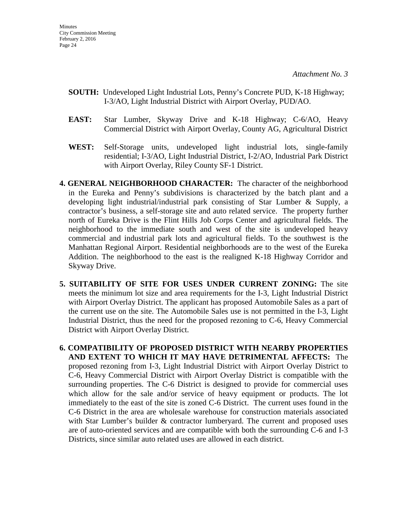- **SOUTH:** Undeveloped Light Industrial Lots, Penny's Concrete PUD, K-18 Highway; I-3/AO, Light Industrial District with Airport Overlay, PUD/AO.
- **EAST:** Star Lumber, Skyway Drive and K-18 Highway; C-6/AO, Heavy Commercial District with Airport Overlay, County AG, Agricultural District
- **WEST:** Self-Storage units, undeveloped light industrial lots, single-family residential; I-3/AO, Light Industrial District, I-2/AO, Industrial Park District with Airport Overlay, Riley County SF-1 District.
- **4. GENERAL NEIGHBORHOOD CHARACTER:** The character of the neighborhood in the Eureka and Penny's subdivisions is characterized by the batch plant and a developing light industrial/industrial park consisting of Star Lumber & Supply, a contractor's business, a self-storage site and auto related service. The property further north of Eureka Drive is the Flint Hills Job Corps Center and agricultural fields. The neighborhood to the immediate south and west of the site is undeveloped heavy commercial and industrial park lots and agricultural fields. To the southwest is the Manhattan Regional Airport. Residential neighborhoods are to the west of the Eureka Addition. The neighborhood to the east is the realigned K-18 Highway Corridor and Skyway Drive.
- **5. SUITABILITY OF SITE FOR USES UNDER CURRENT ZONING:** The site meets the minimum lot size and area requirements for the I-3, Light Industrial District with Airport Overlay District. The applicant has proposed Automobile Sales as a part of the current use on the site. The Automobile Sales use is not permitted in the I-3, Light Industrial District, thus the need for the proposed rezoning to C-6, Heavy Commercial District with Airport Overlay District.
- **6. COMPATIBILITY OF PROPOSED DISTRICT WITH NEARBY PROPERTIES AND EXTENT TO WHICH IT MAY HAVE DETRIMENTAL AFFECTS:** The proposed rezoning from I-3, Light Industrial District with Airport Overlay District to C-6, Heavy Commercial District with Airport Overlay District is compatible with the surrounding properties. The C-6 District is designed to provide for commercial uses which allow for the sale and/or service of heavy equipment or products. The lot immediately to the east of the site is zoned C-6 District. The current uses found in the C-6 District in the area are wholesale warehouse for construction materials associated with Star Lumber's builder & contractor lumberyard. The current and proposed uses are of auto-oriented services and are compatible with both the surrounding C-6 and I-3 Districts, since similar auto related uses are allowed in each district.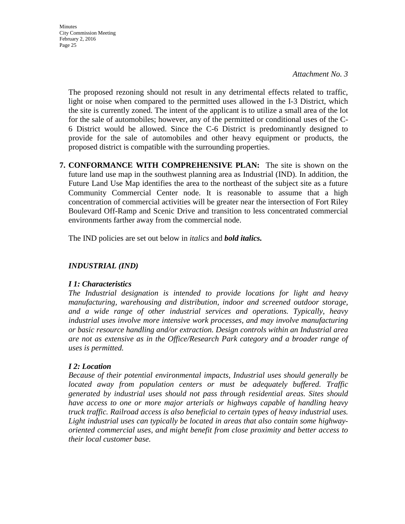**Minutes** City Commission Meeting February 2, 2016 Page 25

> The proposed rezoning should not result in any detrimental effects related to traffic, light or noise when compared to the permitted uses allowed in the I-3 District, which the site is currently zoned. The intent of the applicant is to utilize a small area of the lot for the sale of automobiles; however, any of the permitted or conditional uses of the C-6 District would be allowed. Since the C-6 District is predominantly designed to provide for the sale of automobiles and other heavy equipment or products, the proposed district is compatible with the surrounding properties.

**7. CONFORMANCE WITH COMPREHENSIVE PLAN:** The site is shown on the future land use map in the southwest planning area as Industrial (IND). In addition, the Future Land Use Map identifies the area to the northeast of the subject site as a future Community Commercial Center node. It is reasonable to assume that a high concentration of commercial activities will be greater near the intersection of Fort Riley Boulevard Off-Ramp and Scenic Drive and transition to less concentrated commercial environments farther away from the commercial node.

The IND policies are set out below in *italics* and *bold italics.*

## *INDUSTRIAL (IND)*

## *I 1: Characteristics*

*The Industrial designation is intended to provide locations for light and heavy manufacturing, warehousing and distribution, indoor and screened outdoor storage, and a wide range of other industrial services and operations. Typically, heavy industrial uses involve more intensive work processes, and may involve manufacturing or basic resource handling and/or extraction. Design controls within an Industrial area are not as extensive as in the Office/Research Park category and a broader range of uses is permitted.* 

## *I 2: Location*

*Because of their potential environmental impacts, Industrial uses should generally be located away from population centers or must be adequately buffered. Traffic generated by industrial uses should not pass through residential areas. Sites should have access to one or more major arterials or highways capable of handling heavy truck traffic. Railroad access is also beneficial to certain types of heavy industrial uses. Light industrial uses can typically be located in areas that also contain some highwayoriented commercial uses, and might benefit from close proximity and better access to their local customer base.*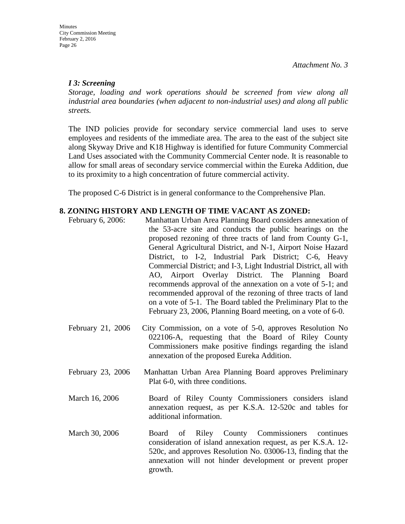# *I 3: Screening*

*Storage, loading and work operations should be screened from view along all industrial area boundaries (when adjacent to non-industrial uses) and along all public streets.*

The IND policies provide for secondary service commercial land uses to serve employees and residents of the immediate area. The area to the east of the subject site along Skyway Drive and K18 Highway is identified for future Community Commercial Land Uses associated with the Community Commercial Center node. It is reasonable to allow for small areas of secondary service commercial within the Eureka Addition, due to its proximity to a high concentration of future commercial activity.

The proposed C-6 District is in general conformance to the Comprehensive Plan.

## **8. ZONING HISTORY AND LENGTH OF TIME VACANT AS ZONED:**

- February 6, 2006: Manhattan Urban Area Planning Board considers annexation of the 53-acre site and conducts the public hearings on the proposed rezoning of three tracts of land from County G-1, General Agricultural District, and N-1, Airport Noise Hazard District, to I-2, Industrial Park District; C-6, Heavy Commercial District; and I-3, Light Industrial District, all with AO, Airport Overlay District. The Planning Board recommends approval of the annexation on a vote of 5-1; and recommended approval of the rezoning of three tracts of land on a vote of 5-1. The Board tabled the Preliminary Plat to the February 23, 2006, Planning Board meeting, on a vote of 6-0.
- February 21, 2006 City Commission, on a vote of 5-0, approves Resolution No 022106-A, requesting that the Board of Riley County Commissioners make positive findings regarding the island annexation of the proposed Eureka Addition.
- February 23, 2006 Manhattan Urban Area Planning Board approves Preliminary Plat 6-0, with three conditions.
- March 16, 2006 Board of Riley County Commissioners considers island annexation request, as per K.S.A. 12-520c and tables for additional information.
- March 30, 2006 Board of Riley County Commissioners continues consideration of island annexation request, as per K.S.A. 12- 520c, and approves Resolution No. 03006-13, finding that the annexation will not hinder development or prevent proper growth.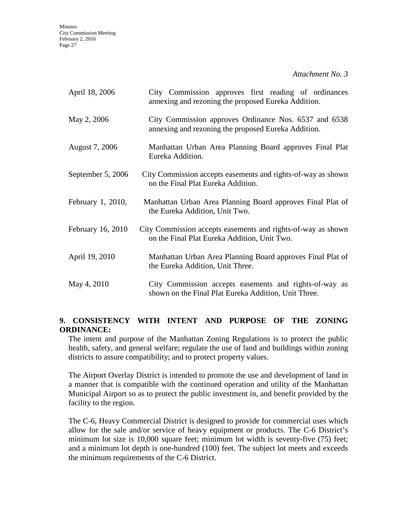**Minutes** City Commission Meeting February 2, 2016 Page 27

*Attachment No. 3*

| April 18, 2006    | City Commission approves first reading of ordinances<br>annexing and rezoning the proposed Eureka Addition.    |
|-------------------|----------------------------------------------------------------------------------------------------------------|
| May 2, 2006       | City Commission approves Ordinance Nos. 6537 and 6538<br>annexing and rezoning the proposed Eureka Addition.   |
| August 7, 2006    | Manhattan Urban Area Planning Board approves Final Plat<br>Eureka Addition.                                    |
| September 5, 2006 | City Commission accepts easements and rights-of-way as shown<br>on the Final Plat Eureka Addition.             |
| February 1, 2010, | Manhattan Urban Area Planning Board approves Final Plat of<br>the Eureka Addition, Unit Two.                   |
| February 16, 2010 | City Commission accepts easements and rights-of-way as shown<br>on the Final Plat Eureka Addition, Unit Two.   |
| April 19, 2010    | Manhattan Urban Area Planning Board approves Final Plat of<br>the Eureka Addition, Unit Three.                 |
| May 4, 2010       | City Commission accepts easements and rights-of-way as<br>shown on the Final Plat Eureka Addition, Unit Three. |

## **9. CONSISTENCY WITH INTENT AND PURPOSE OF THE ZONING ORDINANCE:**

The intent and purpose of the Manhattan Zoning Regulations is to protect the public health, safety, and general welfare; regulate the use of land and buildings within zoning districts to assure compatibility; and to protect property values.

The Airport Overlay District is intended to promote the use and development of land in a manner that is compatible with the continued operation and utility of the Manhattan Municipal Airport so as to protect the public investment in, and benefit provided by the facility to the region.

The C-6, Heavy Commercial District is designed to provide for commercial uses which allow for the sale and/or service of heavy equipment or products. The C-6 District's minimum lot size is 10,000 square feet; minimum lot width is seventy-five (75) feet; and a minimum lot depth is one-hundred (100) feet. The subject lot meets and exceeds the minimum requirements of the C-6 District.